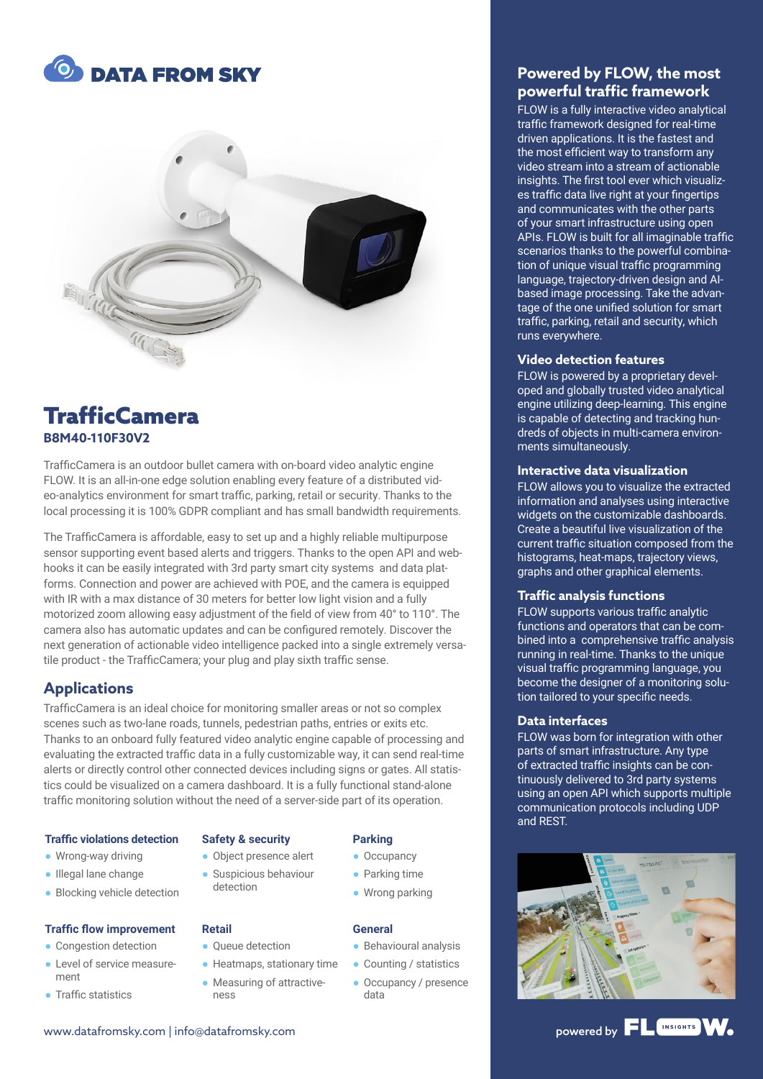



## **TrafficCamera B8M40-110F30V2**

TrafficCamera is an outdoor bullet camera with on-board video analytic engine FLOW. It is an all-in-one edge solution enabling every feature of a distributed video-analytics environment for smart traffic, parking, retail or security. Thanks to the local processing it is 100% GDPR compliant and has small bandwidth requirements.

The TrafficCamera is affordable, easy to set up and a highly reliable multipurpose sensor supporting event based alerts and triggers. Thanks to the open API and webhooks it can be easily integrated with 3rd party smart city systems and data platforms. Connection and power are achieved with POE, and the camera is equipped with IR with a max distance of 30 meters for better low light vision and a fully motorized zoom allowing easy adjustment of the field of view from 40° to 110°. The camera also has automatic updates and can be configured remotely. Discover the next generation of actionable video intelligence packed into a single extremely versatile product - the TrafficCamera; your plug and play sixth traffic sense.

## **Applications**

TrafficCamera is an ideal choice for monitoring smaller areas or not so complex scenes such as two-lane roads, tunnels, pedestrian paths, entries or exits etc. Thanks to an onboard fully featured video analytic engine capable of processing and evaluating the extracted traffic data in a fully customizable way, it can send real-time alerts or directly control other connected devices including signs or gates. All statistics could be visualized on a camera dashboard. It is a fully functional stand-alone traffic monitoring solution without the need of a server-side part of its operation.

#### **Traffic violations detection**

- Wrong-way driving
- Illegal lane change
- Blocking vehicle detection

#### **Traffic flow improvement**

- Congestion detection
- Level of service measurement
- Traffic statistics

#### **Safety & security**

● Object presence alert ● Suspicious behaviour detection

#### **Retail**

- Oueue detection
- Heatmaps, stationary time
- Measuring of attractiveness

#### **Parking**

- Occupancy
- Parking time
- Wrong parking

#### **General**

- Behavioural analysis
- Counting / statistics
- Occupancy / presence data

## **Powered by FLOW, the most powerful traffic framework**

FLOW is a fully interactive video analytical traffic framework designed for real-time driven applications. It is the fastest and the most efficient way to transform any video stream into a stream of actionable insights. The first tool ever which visualizes traffic data live right at your fingertips and communicates with the other parts of your smart infrastructure using open APIs. FLOW is built for all imaginable traffic scenarios thanks to the powerful combination of unique visual traffic programming language, trajectory-driven design and AIbased image processing. Take the advantage of the one unified solution for smart traffic, parking, retail and security, which runs everywhere.

#### **Video detection features**

FLOW is powered by a proprietary developed and globally trusted video analytical engine utilizing deep-learning. This engine is capable of detecting and tracking hundreds of objects in multi-camera environments simultaneously.

#### **Interactive data visualization**

FLOW allows you to visualize the extracted information and analyses using interactive widgets on the customizable dashboards. Create a beautiful live visualization of the current traffic situation composed from the histograms, heat-maps, trajectory views, graphs and other graphical elements.

#### **Traffic analysis functions**

FLOW supports various traffic analytic functions and operators that can be combined into a comprehensive traffic analysis running in real-time. Thanks to the unique visual traffic programming language, you become the designer of a monitoring solution tailored to your specific needs.

#### **Data interfaces**

FLOW was born for integration with other parts of smart infrastructure. Any type of extracted traffic insights can be continuously delivered to 3rd party systems using an open API which supports multiple communication protocols including UDP and REST.



# www.datafromsky.com | info@datafromsky.com powered by